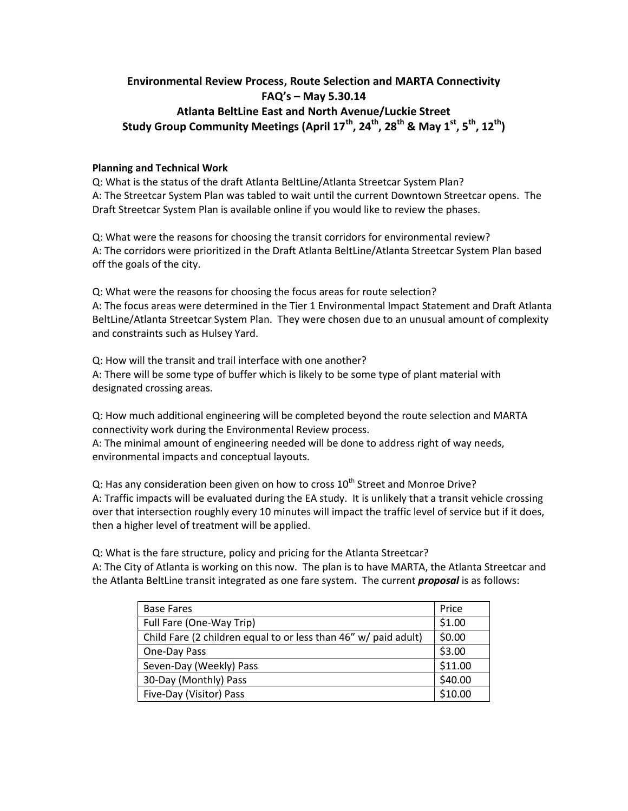# **Environmental Review Process, Route Selection and MARTA Connectivity FAQ's – May 5.30.14 Atlanta BeltLine East and North Avenue/Luckie Street Study Group Community Meetings (April 17th , 24th, 28th & May 1st, 5th, 12th)**

# **Planning and Technical Work**

Q: What is the status of the draft Atlanta BeltLine/Atlanta Streetcar System Plan? A: The Streetcar System Plan was tabled to wait until the current Downtown Streetcar opens. The Draft Streetcar System Plan is available online if you would like to review the phases.

Q: What were the reasons for choosing the transit corridors for environmental review? A: The corridors were prioritized in the Draft Atlanta BeltLine/Atlanta Streetcar System Plan based off the goals of the city.

Q: What were the reasons for choosing the focus areas for route selection? A: The focus areas were determined in the Tier 1 Environmental Impact Statement and Draft Atlanta BeltLine/Atlanta Streetcar System Plan. They were chosen due to an unusual amount of complexity and constraints such as Hulsey Yard.

Q: How will the transit and trail interface with one another? A: There will be some type of buffer which is likely to be some type of plant material with designated crossing areas.

Q: How much additional engineering will be completed beyond the route selection and MARTA connectivity work during the Environmental Review process.

A: The minimal amount of engineering needed will be done to address right of way needs, environmental impacts and conceptual layouts.

Q: Has any consideration been given on how to cross  $10^{th}$  Street and Monroe Drive? A: Traffic impacts will be evaluated during the EA study. It is unlikely that a transit vehicle crossing over that intersection roughly every 10 minutes will impact the traffic level of service but if it does, then a higher level of treatment will be applied.

Q: What is the fare structure, policy and pricing for the Atlanta Streetcar? A: The City of Atlanta is working on this now. The plan is to have MARTA, the Atlanta Streetcar and the Atlanta BeltLine transit integrated as one fare system. The current *proposal* is as follows:

| <b>Base Fares</b>                                               | Price   |
|-----------------------------------------------------------------|---------|
| Full Fare (One-Way Trip)                                        | \$1.00  |
| Child Fare (2 children equal to or less than 46" w/ paid adult) | \$0.00  |
| One-Day Pass                                                    | \$3.00  |
| Seven-Day (Weekly) Pass                                         | \$11.00 |
| 30-Day (Monthly) Pass                                           | \$40.00 |
| Five-Day (Visitor) Pass                                         | \$10.00 |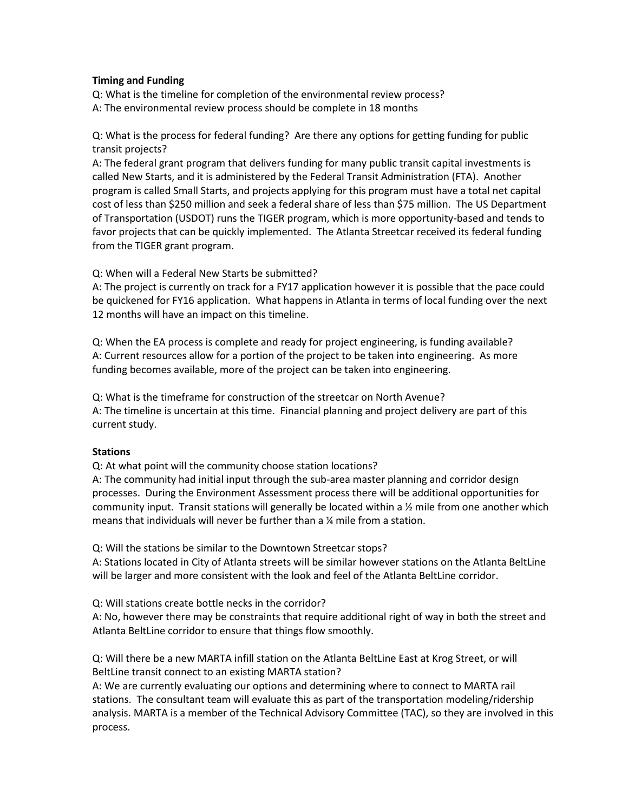## **Timing and Funding**

Q: What is the timeline for completion of the environmental review process? A: The environmental review process should be complete in 18 months

Q: What is the process for federal funding? Are there any options for getting funding for public transit projects?

A: The federal grant program that delivers funding for many public transit capital investments is called New Starts, and it is administered by the Federal Transit Administration (FTA). Another program is called Small Starts, and projects applying for this program must have a total net capital cost of less than \$250 million and seek a federal share of less than \$75 million. The US Department of Transportation (USDOT) runs the TIGER program, which is more opportunity-based and tends to favor projects that can be quickly implemented. The Atlanta Streetcar received its federal funding from the TIGER grant program.

Q: When will a Federal New Starts be submitted?

A: The project is currently on track for a FY17 application however it is possible that the pace could be quickened for FY16 application. What happens in Atlanta in terms of local funding over the next 12 months will have an impact on this timeline.

Q: When the EA process is complete and ready for project engineering, is funding available? A: Current resources allow for a portion of the project to be taken into engineering. As more funding becomes available, more of the project can be taken into engineering.

Q: What is the timeframe for construction of the streetcar on North Avenue? A: The timeline is uncertain at this time. Financial planning and project delivery are part of this current study.

# **Stations**

Q: At what point will the community choose station locations?

A: The community had initial input through the sub-area master planning and corridor design processes. During the Environment Assessment process there will be additional opportunities for community input. Transit stations will generally be located within a ½ mile from one another which means that individuals will never be further than a ¼ mile from a station.

Q: Will the stations be similar to the Downtown Streetcar stops?

A: Stations located in City of Atlanta streets will be similar however stations on the Atlanta BeltLine will be larger and more consistent with the look and feel of the Atlanta BeltLine corridor.

Q: Will stations create bottle necks in the corridor?

A: No, however there may be constraints that require additional right of way in both the street and Atlanta BeltLine corridor to ensure that things flow smoothly.

Q: Will there be a new MARTA infill station on the Atlanta BeltLine East at Krog Street, or will BeltLine transit connect to an existing MARTA station?

A: We are currently evaluating our options and determining where to connect to MARTA rail stations. The consultant team will evaluate this as part of the transportation modeling/ridership analysis. MARTA is a member of the Technical Advisory Committee (TAC), so they are involved in this process.